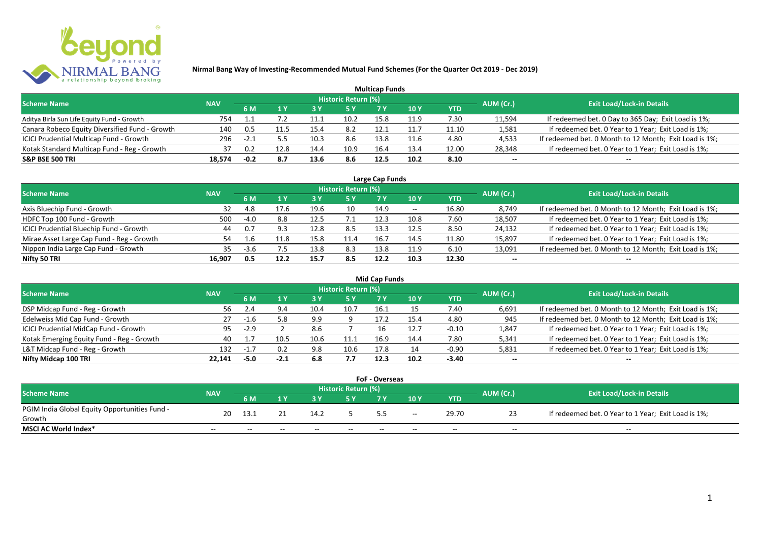

| <b>Multicap Funds</b>                          |            |        |      |      |                            |      |                 |            |           |                                                        |  |  |  |
|------------------------------------------------|------------|--------|------|------|----------------------------|------|-----------------|------------|-----------|--------------------------------------------------------|--|--|--|
| <b>Scheme Name</b>                             | <b>NAV</b> |        |      |      | <b>Historic Return (%)</b> |      |                 |            | AUM (Cr.) | <b>Exit Load/Lock-in Details</b>                       |  |  |  |
|                                                |            | 6 M    |      | 73 Y | /5 Y                       |      | 10 <sub>Y</sub> | <b>YTD</b> |           |                                                        |  |  |  |
| Aditya Birla Sun Life Equity Fund - Growth     | 754        |        |      |      | 10.2                       | 15.8 | 11.9            | 7.30       | 11,594    | If redeemed bet. 0 Day to 365 Day; Exit Load is 1%;    |  |  |  |
| Canara Robeco Equity Diversified Fund - Growth | 140        | 0.5    | 11.5 | 15.4 | 8.2                        | 12.1 | 11.7            | 11.10      | 1,581     | If redeemed bet. 0 Year to 1 Year; Exit Load is 1%;    |  |  |  |
| ICICI Prudential Multicap Fund - Growth        | 296        | $-2.1$ |      | 10.3 | 8.6                        | 13.8 | 11.6            | 4.80       | 4,533     | If redeemed bet. 0 Month to 12 Month; Exit Load is 1%; |  |  |  |
| Kotak Standard Multicap Fund - Reg - Growth    | 37         | 0.2    | 12.8 | 14.4 | 10.9                       | 16.4 | 13.4            | 12.00      | 28,348    | If redeemed bet. 0 Year to 1 Year; Exit Load is 1%;    |  |  |  |
| <b>S&amp;P BSE 500 TRI</b>                     | 18,574     | $-0.2$ | 8.7  | 13.6 | 8.6                        | 12.5 | 10.2            | 8.10       | $- -$     | --                                                     |  |  |  |

| Large Cap Funds                           |            |        |      |      |                            |      |       |       |                          |                                                        |  |  |
|-------------------------------------------|------------|--------|------|------|----------------------------|------|-------|-------|--------------------------|--------------------------------------------------------|--|--|
| <b>Scheme Name</b>                        | <b>NAV</b> |        |      |      | <b>Historic Return (%)</b> |      |       |       | AUM (Cr.)                | <b>Exit Load/Lock-in Details</b>                       |  |  |
|                                           |            | 6 M    |      |      | 5 Y                        |      | 10 Y  | YTD   |                          |                                                        |  |  |
| Axis Bluechip Fund - Growth               | 32         | 4.8    | 17.6 | 19.6 | 10                         | 14.9 | $- -$ | 16.80 | 8,749                    | If redeemed bet. 0 Month to 12 Month; Exit Load is 1%; |  |  |
| HDFC Top 100 Fund - Growth                | 500        | $-4.0$ | 8.8  | 12.5 |                            | 12.3 | 10.8  | 7.60  | 18,507                   | If redeemed bet. 0 Year to 1 Year; Exit Load is 1%;    |  |  |
| ICICI Prudential Bluechip Fund - Growth   | 44         | 0.7    | 9.3  | 12.8 | 8.5                        | 13.3 | 12.5  | 8.50  | 24,132                   | If redeemed bet. 0 Year to 1 Year; Exit Load is 1%;    |  |  |
| Mirae Asset Large Cap Fund - Reg - Growth | 54         |        | 11.8 | 15.8 | 11.4                       | 16.7 | 14.5  | 11.80 | 15,897                   | If redeemed bet. 0 Year to 1 Year; Exit Load is 1%;    |  |  |
| Nippon India Large Cap Fund - Growth      | 35         | -3.6   |      | 13.8 | 8.3                        | 13.8 | 11.9  | 6.10  | 13,091                   | If redeemed bet. 0 Month to 12 Month; Exit Load is 1%; |  |  |
| Nifty 50 TRI                              | 16,907     | 0.5    | 12.2 | 15.7 | 8.5                        | 12.2 | 10.3  | 12.30 | $\overline{\phantom{a}}$ |                                                        |  |  |

| <b>Mid Cap Funds</b>                      |            |        |        |      |                            |      |      |            |           |                                                        |  |  |
|-------------------------------------------|------------|--------|--------|------|----------------------------|------|------|------------|-----------|--------------------------------------------------------|--|--|
| <b>Scheme Name</b>                        | <b>NAV</b> |        |        |      | <b>Historic Return (%)</b> |      |      |            | AUM (Cr.) | <b>Exit Load/Lock-in Details</b>                       |  |  |
|                                           |            | 6 M    |        |      | 5 Y                        | 7 Y  | 10 Y | <b>YTD</b> |           |                                                        |  |  |
| DSP Midcap Fund - Reg - Growth            | 56         | 2.4    |        | 10.4 | 10.7                       | 16.1 |      | 7.40       | 6,691     | If redeemed bet. 0 Month to 12 Month; Exit Load is 1%; |  |  |
| Edelweiss Mid Cap Fund - Growth           | 27         | -1.6   | 5.8    | 9.9  |                            | 17.2 | 15.4 | 4.80       | 945       | If redeemed bet. 0 Month to 12 Month; Exit Load is 1%; |  |  |
| ICICI Prudential MidCap Fund - Growth     | 95         | $-2.9$ |        | 8.6  |                            |      | 12.7 | $-0.10$    | 1,847     | If redeemed bet. 0 Year to 1 Year; Exit Load is 1%;    |  |  |
| Kotak Emerging Equity Fund - Reg - Growth | 40         |        | 10.5   | 10.6 | 11.1                       | 16.9 | 14.4 | 7.80       | 5,341     | If redeemed bet. 0 Year to 1 Year; Exit Load is 1%;    |  |  |
| L&T Midcap Fund - Reg - Growth            | 132        | $-1$   | 0.2    | 9.8  | 10.6                       | 17.8 |      | $-0.90$    | 5,831     | If redeemed bet. 0 Year to 1 Year; Exit Load is 1%;    |  |  |
| Nifty Midcap 100 TRI                      | 22.141     | $-5.0$ | $-2.1$ | 6.8  | 7.7                        | 12.3 | 10.2 | -3.40      | $- -$     | $- -$                                                  |  |  |

| <b>FoF - Overseas</b>                         |            |       |       |       |                     |       |       |       |           |                                                     |  |  |
|-----------------------------------------------|------------|-------|-------|-------|---------------------|-------|-------|-------|-----------|-----------------------------------------------------|--|--|
| <b>Scheme Name</b>                            |            |       |       |       | Historic Return (%) |       |       |       |           | <b>Exit Load/Lock-in Details</b>                    |  |  |
|                                               | <b>NAV</b> | 6 M   |       |       |                     |       | 10Y   | YTD   | AUM (Cr.) |                                                     |  |  |
| PGIM India Global Equity Opportunities Fund - | 20         | 13.1  |       | 14.2  |                     |       |       | 29.70 |           | If redeemed bet. 0 Year to 1 Year; Exit Load is 1%; |  |  |
| Growth                                        |            |       |       |       |                     |       | $- -$ |       |           |                                                     |  |  |
| MSCI AC World Index*                          | $- -$      | $- -$ | $- -$ | $- -$ | $- -$               | $- -$ | $- -$ | $- -$ | $- -$     | $- -$                                               |  |  |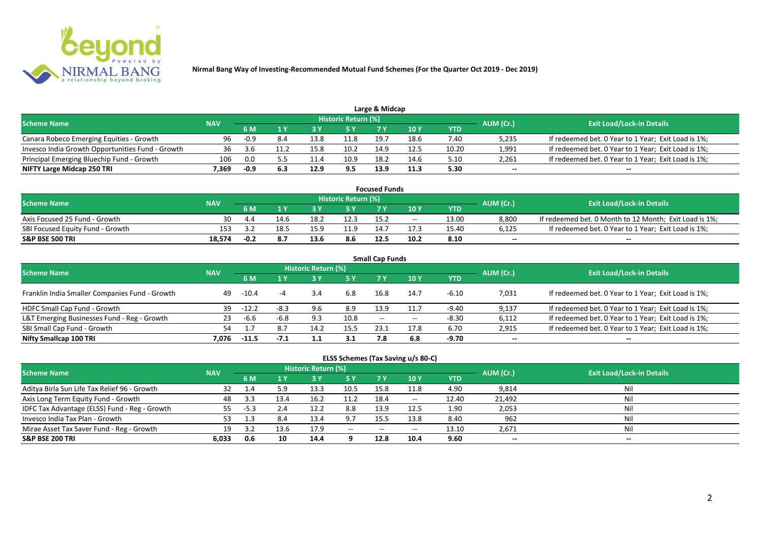

| Large & Midcap<br><b>Historic Return (%)</b>     |            |        |     |      |      |      |            |       |           |                                                     |  |  |
|--------------------------------------------------|------------|--------|-----|------|------|------|------------|-------|-----------|-----------------------------------------------------|--|--|
| <b>Scheme Name</b>                               | <b>NAV</b> | 6 M    |     |      | 5 Y  |      | <b>10Y</b> | YTD   | AUM (Cr.) | <b>Exit Load/Lock-in Details</b>                    |  |  |
| Canara Robeco Emerging Equities - Growth         | 96         | $-0.9$ | 8.4 | 13.8 | 11.8 | 19.7 | 18.6       | 7.40  | 5,235     | If redeemed bet. 0 Year to 1 Year; Exit Load is 1%; |  |  |
| Invesco India Growth Opportunities Fund - Growth | 36         | -3.6   |     | 15.8 | 10.2 | 14.9 | 12.5       | 10.20 | 1,991     | If redeemed bet. 0 Year to 1 Year; Exit Load is 1%; |  |  |
| Principal Emerging Bluechip Fund - Growth        | 106        | 0.0    |     | 11.4 | 10.9 | 18.2 | 14.6       | 5.10  | 2,261     | If redeemed bet. 0 Year to 1 Year; Exit Load is 1%; |  |  |
| NIFTY Large Midcap 250 TRI                       | 7.369      | $-0.9$ |     | 12.9 | 9.5  | 13.9 | 11.3       | 5.30  | $- -$     | $-$                                                 |  |  |

| <b>Focused Funds</b>             |            |        |      |      |                     |      |            |       |           |                                                        |  |
|----------------------------------|------------|--------|------|------|---------------------|------|------------|-------|-----------|--------------------------------------------------------|--|
| <b>Scheme Name</b>               | <b>NAV</b> |        |      |      | Historic Return (%) |      |            |       | AUM (Cr.) | <b>Exit Load/Lock-in Details</b>                       |  |
|                                  |            | 6 M    |      |      | 5 Y                 |      | <b>10Y</b> | YTD   |           |                                                        |  |
| Axis Focused 25 Fund - Growth    | 30         | 4.4    | 14.6 | 18.2 | 12.3                | 15.2 | $- -$      | 13.00 | 8,800     | If redeemed bet. 0 Month to 12 Month; Exit Load is 1%; |  |
| SBI Focused Equity Fund - Growth | 153        |        | 18.5 | 15.9 | 11.9                | 14.7 |            | 15.40 | 6,125     | If redeemed bet. 0 Year to 1 Year; Exit Load is 1%;    |  |
| <b>S&amp;P BSE 500 TRI</b>       | 18.574     | $-0.2$ | 8. . | 13.6 | 8.6                 | 12.5 | 10.2       | 8.10  | $- -$     | $- -$                                                  |  |

| <b>Small Cap Funds</b>                         |            |         |        |                     |      |       |       |            |           |                                                     |  |  |
|------------------------------------------------|------------|---------|--------|---------------------|------|-------|-------|------------|-----------|-----------------------------------------------------|--|--|
| <b>Scheme Name</b>                             | <b>NAV</b> |         |        | Historic Return (%) |      |       |       |            | AUM (Cr.) | <b>Exit Load/Lock-in Details</b>                    |  |  |
|                                                |            | 6 M     | 1 Y    | <b>3Y</b>           | 5 Y  | 7 Y   | 10Y   | <b>YTD</b> |           |                                                     |  |  |
| Franklin India Smaller Companies Fund - Growth | 49         | $-10.4$ |        | 3.4                 | 6.8  | 16.8  | 14.7  | -6.10      | 7,031     | If redeemed bet. 0 Year to 1 Year; Exit Load is 1%; |  |  |
| HDFC Small Cap Fund - Growth                   | 39         | $-12.2$ | $-8.3$ | 9.6                 | 8.9  | 13.9  |       | -9.40      | 9,137     | If redeemed bet. 0 Year to 1 Year; Exit Load is 1%; |  |  |
| L&T Emerging Businesses Fund - Reg - Growth    | 23         | -6.6    | $-6.8$ | 9.3                 | 10.8 | $- -$ | $- -$ | $-8.30$    | 6,112     | If redeemed bet. 0 Year to 1 Year; Exit Load is 1%; |  |  |
| SBI Small Cap Fund - Growth                    | 54         |         |        | 14.2                | 15.5 | 23.1  | 17.8  | 6.70       | 2,915     | If redeemed bet. 0 Year to 1 Year; Exit Load is 1%; |  |  |
| Nifty Smallcap 100 TRI                         | 7.076      | $-11.5$ | $-7.1$ | 1.1                 | 3.1  | 7.8   | 6.8   | -9.70      | $- -$     | $- -$                                               |  |  |

|  | ELSS Schemes (Tax Saving u/s 80-C) |  |
|--|------------------------------------|--|
|--|------------------------------------|--|

| <b>Scheme Name</b>                            | <b>NAV</b> |        |      | <b>Historic Return (%)</b> |           |           |                          |            | AUM (Cr.) | <b>Exit Load/Lock-in Details</b> |
|-----------------------------------------------|------------|--------|------|----------------------------|-----------|-----------|--------------------------|------------|-----------|----------------------------------|
|                                               |            | 6 M    | 4 V  |                            | <b>5Y</b> | <b>7Y</b> | 10Y                      | <b>YTD</b> |           |                                  |
| Aditya Birla Sun Life Tax Relief 96 - Growth  |            |        |      | 13.3                       | 10.5      | 15.8      | 11.8                     | 4.90       | 9,814     | Nil                              |
| Axis Long Term Equity Fund - Growth           | 48         | 3.3    | 13.4 | 16.2                       | 11.2      | 18.4      | $\overline{\phantom{m}}$ | 12.40      | 21.492    | Nil                              |
| IDFC Tax Advantage (ELSS) Fund - Reg - Growth | 55         | $-5.3$ |      | 12.2                       | 8.8       | 13.9      | 12.5                     | 1.90       | 2,053     | Nil                              |
| Invesco India Tax Plan - Growth               | 53         |        |      | 13.4                       | 9.7       |           | 13.8                     | 8.40       | 962       | Nil                              |
| Mirae Asset Tax Saver Fund - Reg - Growth     | 19         |        | 13.6 | 17.9                       | $ -$      | $-$       | $\overline{\phantom{m}}$ | 13.10      | 2,671     | Nil                              |
| <b>S&amp;P BSE 200 TRI</b>                    | 6.033      | 0.6    | 10   | 14.4                       |           | 12.8      | 10.4                     | 9.60       | $- -$     | $- -$                            |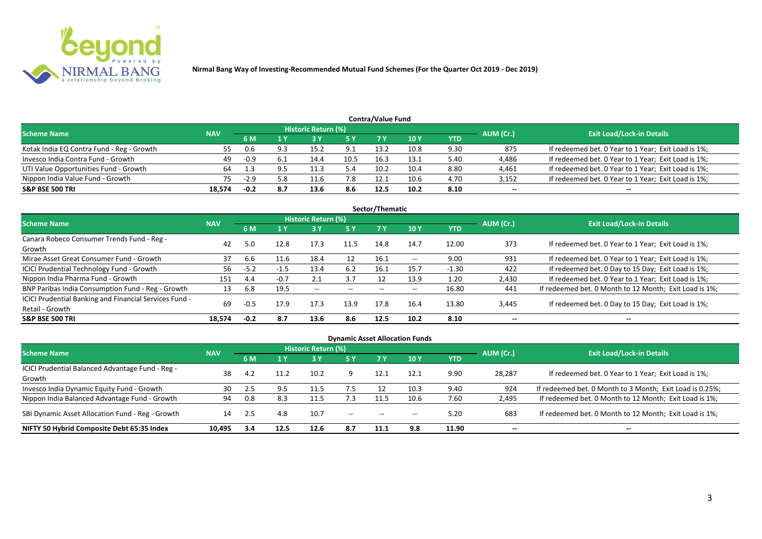

| <b>Contra/Value Fund</b>                  |            |      |      |                            |      |      |      |            |           |                                                     |  |  |
|-------------------------------------------|------------|------|------|----------------------------|------|------|------|------------|-----------|-----------------------------------------------------|--|--|
| <b>Scheme Name</b>                        | <b>NAV</b> |      |      | <b>Historic Return (%)</b> |      |      |      |            | AUM (Cr.) | <b>Exit Load/Lock-in Details</b>                    |  |  |
|                                           |            | 6 M  | 1 Y  |                            | 5 Y  | 7 Y  | 10Y  | <b>YTD</b> |           |                                                     |  |  |
| Kotak India EQ Contra Fund - Reg - Growth | 55         |      | 9.3  | 15.2                       | 9.1  | 13.2 | 10.8 | 9.30       | 875       | If redeemed bet. 0 Year to 1 Year; Exit Load is 1%; |  |  |
| Invesco India Contra Fund - Growth        | 49         | -0.9 | -6.1 | 14.4                       | 10.5 | 16.3 | 13.1 | 5.40       | 4,486     | If redeemed bet. 0 Year to 1 Year; Exit Load is 1%; |  |  |
| UTI Value Opportunities Fund - Growth     | 64         |      |      | 11.3                       | 5.4  | 10.2 | 10.4 | 8.80       | 4,461     | If redeemed bet. 0 Year to 1 Year; Exit Load is 1%; |  |  |
| Nippon India Value Fund - Growth          | 75         |      | 5.8  | 11.6                       | 7.8  | 12.1 | 10.6 | 4.70       | 3,152     | If redeemed bet. 0 Year to 1 Year; Exit Load is 1%; |  |  |
| <b>S&amp;P BSE 500 TRI</b>                | 18.574     | -0.2 | 8.7  | 13.6                       | 8.6  | 12.5 | 10.2 | 8.10       | $- -$     | --                                                  |  |  |

|                                                        |            |        |        |                     |       | Sector/Thematic |                          |         |                          |                                                        |
|--------------------------------------------------------|------------|--------|--------|---------------------|-------|-----------------|--------------------------|---------|--------------------------|--------------------------------------------------------|
| <b>Scheme Name</b>                                     | <b>NAV</b> |        |        | Historic Return (%) |       |                 |                          |         | AUM (Cr.)                | <b>Exit Load/Lock-in Details</b>                       |
|                                                        |            | 6 M    | 1 Y    | 3 Y                 | 5 Y   | 7 Y             | <b>10Y</b>               | YTD     |                          |                                                        |
| Canara Robeco Consumer Trends Fund - Reg -             | 42         | 5.0    |        | 17.3                | 11.5  | 14.8            | 14.7                     | 12.00   | 373                      | If redeemed bet. 0 Year to 1 Year; Exit Load is 1%;    |
| Growth                                                 |            |        | 12.8   |                     |       |                 |                          |         |                          |                                                        |
| Mirae Asset Great Consumer Fund - Growth               | 37         | 6.6    | 11.6   | 18.4                | 12    | 16.1            | $\overline{\phantom{a}}$ | 9.00    | 931                      | If redeemed bet. 0 Year to 1 Year; Exit Load is 1%;    |
| <b>ICICI Prudential Technology Fund - Growth</b>       | 56         | $-5.2$ | $-1.5$ | 13.4                | 6.2   | 16.1            | 15.7                     | $-1.30$ | 422                      | If redeemed bet. 0 Day to 15 Day; Exit Load is 1%;     |
| Nippon India Pharma Fund - Growth                      | 151        | 4.4    | $-0.7$ | 2.1                 | 3.7   |                 | 13.9                     | 1.20    | 2,430                    | If redeemed bet. 0 Year to 1 Year; Exit Load is 1%;    |
| BNP Paribas India Consumption Fund - Reg - Growth      | 13         | 6.8    | 19.5   | $\sim$ $-$          | $- -$ | $- -$           | $\overline{\phantom{m}}$ | 16.80   | 441                      | If redeemed bet. 0 Month to 12 Month; Exit Load is 1%; |
| ICICI Prudential Banking and Financial Services Fund - | 69         | $-0.5$ | 17.9   | 17.3                | 13.9  | 17.8            | 16.4                     | 13.80   |                          |                                                        |
| Retail - Growth                                        |            |        |        |                     |       |                 |                          |         | 3,445                    | If redeemed bet. 0 Day to 15 Day; Exit Load is 1%;     |
| <b>S&amp;P BSE 500 TRI</b>                             | 18,574     | $-0.2$ | 8.7    | 13.6                | 8.6   | 12.5            | 10.2                     | 8.10    | $\overline{\phantom{a}}$ | --                                                     |

| <b>Dynamic Asset Allocation Funds</b>                      |            |      |                       |                            |            |                          |            |            |           |                                                          |  |  |
|------------------------------------------------------------|------------|------|-----------------------|----------------------------|------------|--------------------------|------------|------------|-----------|----------------------------------------------------------|--|--|
| Scheme Name                                                | <b>NAV</b> |      |                       | <b>Historic Return (%)</b> |            |                          |            |            | AUM (Cr.) | <b>Exit Load/Lock-in Details</b>                         |  |  |
|                                                            |            | 6 M  | $\sqrt{1}$ $\sqrt{V}$ | <b>3 Y</b>                 | <b>5 Y</b> | 7V                       | <b>10Y</b> | <b>YTD</b> |           |                                                          |  |  |
| ICICI Prudential Balanced Advantage Fund - Reg -<br>Growth | 38         | 4.2  |                       | 10.2                       |            | 12.1                     | 12.1       | 9.90       | 28,287    | If redeemed bet. 0 Year to 1 Year; Exit Load is 1%;      |  |  |
| Invesco India Dynamic Equity Fund - Growth                 | 30         |      | 9.5                   | 11.5                       | 7.5        |                          | 10.3       | 9.40       | 924       | If redeemed bet. 0 Month to 3 Month; Exit Load is 0.25%; |  |  |
| Nippon India Balanced Advantage Fund - Growth              | 94         | 0.8  | 8.3                   |                            | .          |                          | 10.6       | 7.60       | 2,495     | If redeemed bet. 0 Month to 12 Month; Exit Load is 1%;   |  |  |
| SBI Dynamic Asset Allocation Fund - Reg - Growth           | 14         | -2.5 | 4.8                   | 10.7                       | $- -$      | $\overline{\phantom{a}}$ | $- -$      | 5.20       | 683       | If redeemed bet. 0 Month to 12 Month; Exit Load is 1%;   |  |  |
| NIFTY 50 Hybrid Composite Debt 65:35 Index                 | 10,495     | 3.4  | 12.5                  | 12.6                       | 8.7        | 11.1                     | 9.8        | 11.90      | $- -$     | $- -$                                                    |  |  |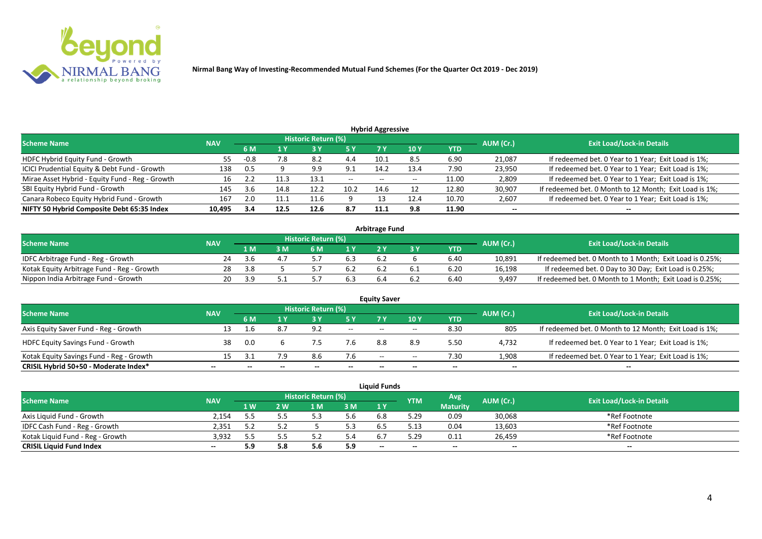

| <b>Hybrid Aggressive</b>                        |            |        |      |                     |                |                          |                 |            |           |                                                        |  |  |  |  |
|-------------------------------------------------|------------|--------|------|---------------------|----------------|--------------------------|-----------------|------------|-----------|--------------------------------------------------------|--|--|--|--|
| <b>Scheme Name</b>                              | <b>NAV</b> |        |      | Historic Return (%) |                |                          |                 |            | AUM (Cr.) | <b>Exit Load/Lock-in Details</b>                       |  |  |  |  |
|                                                 |            | 6 M    |      |                     | 5 Y            |                          | 10 <sub>1</sub> | <b>YTD</b> |           |                                                        |  |  |  |  |
| HDFC Hybrid Equity Fund - Growth                | 55         | $-0.8$ | 7.8  | 8.2                 | 4.4            | د.10                     | 8.5             | 6.90       | 21,087    | If redeemed bet. 0 Year to 1 Year; Exit Load is 1%;    |  |  |  |  |
| ICICI Prudential Equity & Debt Fund - Growth    | 138        | 0.5    |      | 9.9                 | Q <sub>1</sub> | 14.2                     | 13.4            | 7.90       | 23,950    | If redeemed bet. 0 Year to 1 Year; Exit Load is 1%;    |  |  |  |  |
| Mirae Asset Hybrid - Equity Fund - Reg - Growth | 16         | ے . ۔  |      | 13.1                | $- -$          | $\overline{\phantom{a}}$ | $- -$           | 11.00      | 2,809     | If redeemed bet. 0 Year to 1 Year; Exit Load is 1%;    |  |  |  |  |
| SBI Equity Hybrid Fund - Growth                 | 145        | 3.6    | 14.8 | 12.7                | 10.2           | 14.6                     |                 | 12.80      | 30,907    | If redeemed bet. 0 Month to 12 Month; Exit Load is 1%; |  |  |  |  |
| Canara Robeco Equity Hybrid Fund - Growth       | 167        | 2.0    |      | 11.6                |                |                          | 12.4            | 10.70      | 2,607     | If redeemed bet. 0 Year to 1 Year; Exit Load is 1%;    |  |  |  |  |
| NIFTY 50 Hybrid Composite Debt 65:35 Index      | 10,495     | 3.4    | 12.5 | 12.6                | 8.7            | 11.1                     | 9.8             | 11.90      | $- -$     | $- -$                                                  |  |  |  |  |

| <b>Arbitrage Fund</b>                      |            |         |   |                     |     |     |           |      |           |                                                          |  |  |  |
|--------------------------------------------|------------|---------|---|---------------------|-----|-----|-----------|------|-----------|----------------------------------------------------------|--|--|--|
| <b>Scheme Name</b>                         | <b>NAV</b> |         |   | Historic Return (%) |     |     |           |      | AUM (Cr.) | <b>Exit Load/Lock-in Details</b>                         |  |  |  |
|                                            |            | l M     | M | ົ M                 | 1 V |     |           | YTD  |           |                                                          |  |  |  |
| IDFC Arbitrage Fund - Reg - Growth         | 24         | - 3 h   |   |                     | 6.3 | 6.2 |           | 6.40 | 10.891    | If redeemed bet. 0 Month to 1 Month; Exit Load is 0.25%; |  |  |  |
| Kotak Equity Arbitrage Fund - Reg - Growth | 28         | - 32 53 |   |                     | b.Z | 6.2 | b.1       | 6.20 | 16,198    | If redeemed bet. 0 Day to 30 Day; Exit Load is 0.25%;    |  |  |  |
| Nippon India Arbitrage Fund - Growth       |            | - 2 - 4 |   |                     |     |     | <b>b.</b> | 6.40 | 9,497     | If redeemed bet. 0 Month to 1 Month; Exit Load is 0.25%; |  |  |  |

|                                          |            |     |     | <b>Historic Return (%)</b> |       | <b>Equity Saver</b> |       |      |           |                                                        |
|------------------------------------------|------------|-----|-----|----------------------------|-------|---------------------|-------|------|-----------|--------------------------------------------------------|
| <b>Scheme Name</b>                       | <b>NAV</b> |     |     |                            | 5 Y   |                     | 10Y   | YTD  | AUM (Cr.) | <b>Exit Load/Lock-in Details</b>                       |
| Axis Equity Saver Fund - Reg - Growth    | 13         |     | 8.7 | 9.2                        | $ -$  | $- -$               | $- -$ | 8.30 | 805       | If redeemed bet. 0 Month to 12 Month; Exit Load is 1%; |
| <b>HDFC Equity Savings Fund - Growth</b> | 38         | 0.0 |     |                            | 7.6   | 8.8                 | 8.9   | 5.50 | 4,732     | If redeemed bet. 0 Year to 1 Year; Exit Load is 1%;    |
| Kotak Equity Savings Fund - Reg - Growth | 15         |     | 7.9 |                            | 7.6   | $-$                 | $- -$ | 7.30 | 1,908     | If redeemed bet. 0 Year to 1 Year; Exit Load is 1%;    |
| CRISIL Hybrid 50+50 - Moderate Index*    | --         |     |     |                            | $- -$ | $- -$               | --    | $-$  | $- -$     | $-$                                                    |

|                                  |            |     |     |                            |     | <b>Liquid Funds</b> |                          |                 |                          |                                  |
|----------------------------------|------------|-----|-----|----------------------------|-----|---------------------|--------------------------|-----------------|--------------------------|----------------------------------|
| <b>Scheme Name</b>               | <b>NAV</b> |     |     | <b>Historic Return (%)</b> |     |                     | <b>YTM</b>               | Avg             | AUM (Cr.)                | <b>Exit Load/Lock-in Details</b> |
|                                  |            | 1 W | ' W | ιN                         | 3M  | 1 Y                 |                          | <b>Maturity</b> |                          |                                  |
| Axis Liquid Fund - Growth        | 2.154      |     |     |                            | 5.6 | 6.8                 | 5.29                     | 0.09            | 30,068                   | *Ref Footnote                    |
| IDFC Cash Fund - Reg - Growth    | 2,351      |     |     |                            | 5.3 | 6.5                 | 5.13                     | 0.04            | 13,603                   | *Ref Footnote                    |
| Kotak Liquid Fund - Reg - Growth | 3.932      |     |     |                            | 5.4 | h.                  | 5.29                     | 0.11            | 26,459                   | *Ref Footnote                    |
| <b>CRISIL Liquid Fund Index</b>  | $- -$      | 5.9 | 5.8 | 5.6                        | 5.9 | $-$                 | $\overline{\phantom{a}}$ | $- -$           | $\overline{\phantom{a}}$ | $\overline{\phantom{a}}$         |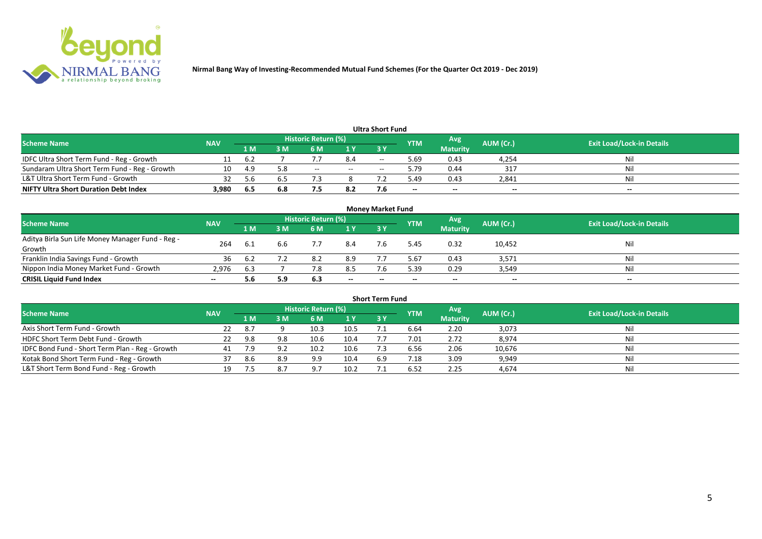

|                                               |            |      |     |                     |        | <b>Ultra Short Fund</b>                        |            |                 |           |                                  |
|-----------------------------------------------|------------|------|-----|---------------------|--------|------------------------------------------------|------------|-----------------|-----------|----------------------------------|
| <b>Scheme Name</b>                            | <b>NAV</b> |      |     | Historic Return (%) |        |                                                | <b>YTM</b> | Avg             | AUM (Cr.) | <b>Exit Load/Lock-in Details</b> |
|                                               |            | 1 M  | 3 M | 6 M                 | 1 Y    | 73 Y                                           |            | <b>Maturity</b> |           |                                  |
| IDFC Ultra Short Term Fund - Reg - Growth     |            | 6.2  |     |                     | 8.4    | $\hspace{0.1mm}-\hspace{0.1mm}-\hspace{0.1mm}$ | 5.69       | 0.43            | 4,254     | Nil                              |
| Sundaram Ultra Short Term Fund - Reg - Growth | 10         | -4.9 | 5.8 | $- -$               | $  \,$ | $\overline{\phantom{a}}$                       | 5.79       | 0.44            | 317       | Nil                              |
| L&T Ultra Short Term Fund - Growth            | 32         | 5 h  |     |                     |        |                                                | 49.د       | 0.43            | 2,841     | Nil                              |
| <b>NIFTY Ultra Short Duration Debt Index</b>  | 3,980      | 6.5  | 6.8 |                     | 8.2    |                                                | $- -$      | $-$             | $-$       | $- -$                            |

| <b>Money Market Fund</b>                         |            |                |     |                     |       |           |            |                 |           |                                  |  |  |  |
|--------------------------------------------------|------------|----------------|-----|---------------------|-------|-----------|------------|-----------------|-----------|----------------------------------|--|--|--|
| <b>Scheme Name</b>                               | <b>NAV</b> |                |     | Historic Return (%) |       |           | <b>YTM</b> | <b>Avg</b>      | AUM (Cr.) | <b>Exit Load/Lock-in Details</b> |  |  |  |
|                                                  |            | 1 <sub>M</sub> | ЗM  | 6 M                 | 1Y    | <b>3Y</b> |            | <b>Maturity</b> |           |                                  |  |  |  |
| Aditya Birla Sun Life Money Manager Fund - Reg - | 264        |                | 6.6 |                     | 8.4   |           | 5.45       | 0.32            | 10,452    | Nil                              |  |  |  |
| Growth                                           |            |                |     |                     |       |           |            |                 |           |                                  |  |  |  |
| Franklin India Savings Fund - Growth             | 36         |                |     | 8.2                 | 8.9   |           | 5.67       | 0.43            | 3,571     | Nil                              |  |  |  |
| Nippon India Money Market Fund - Growth          | 2.976      | 6.3            |     |                     | 8.5   |           | 5.39       | 0.29            | 3,549     | Ni!                              |  |  |  |
| <b>CRISIL Liquid Fund Index</b>                  |            | 5.6            | 5.9 | 6.3                 | $- -$ | --        | --         | $- -$           | $- -$     | $- -$                            |  |  |  |

| <b>Short Term Fund</b>                          |            |      |     |                            |      |            |            |                 |           |                                  |  |  |  |
|-------------------------------------------------|------------|------|-----|----------------------------|------|------------|------------|-----------------|-----------|----------------------------------|--|--|--|
| <b>Scheme Name</b>                              | <b>NAV</b> |      |     | <b>Historic Return (%)</b> |      |            | <b>YTM</b> | Avg             | AUM (Cr.) | <b>Exit Load/Lock-in Details</b> |  |  |  |
|                                                 |            | 1 M  | 3 M | 6 M                        | 1Y   | <b>3 Y</b> |            | <b>Maturity</b> |           |                                  |  |  |  |
| Axis Short Term Fund - Growth                   | 22         | -8.7 |     | 10.3                       | 10.5 |            | 6.64       | 2.20            | 3,073     | Ni                               |  |  |  |
| HDFC Short Term Debt Fund - Growth              | 22         | 9.8  | 9.8 | 10.6                       | 10.4 |            | 7.01       | 2.72            | 8,974     | Nil                              |  |  |  |
| IDFC Bond Fund - Short Term Plan - Reg - Growth | 41         | 7.9  | 9.2 | 10.2                       | 10.6 |            | 6.56       | 2.06            | 10,676    | Nil                              |  |  |  |
| Kotak Bond Short Term Fund - Reg - Growth       |            | 8.6  | 8.9 | 9.9                        | 10.4 | 6.9        | 7.18       | 3.09            | 9,949     | Ni                               |  |  |  |
| L&T Short Term Bond Fund - Reg - Growth         | 19         |      |     | Q <sub>7</sub>             | 10.2 |            | 6.52       | 2.25            | 4.674     | Ni                               |  |  |  |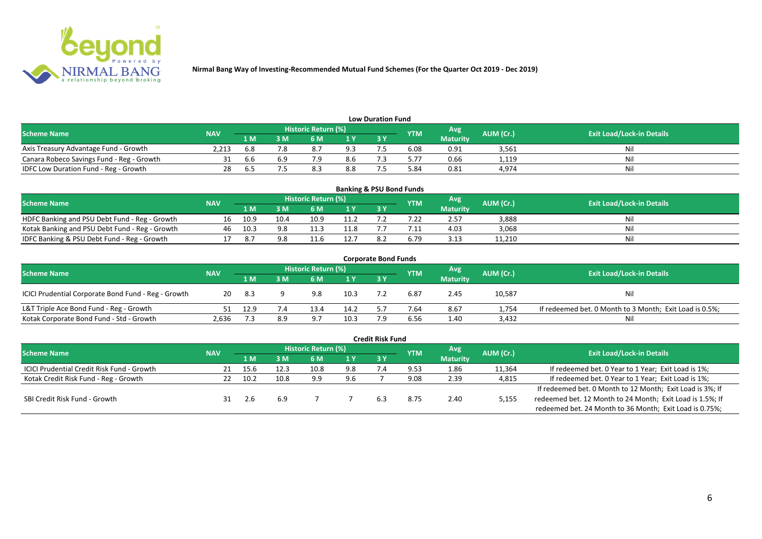

| <b>Low Duration Fund</b>                  |            |        |     |                            |     |  |            |                 |           |                                  |  |  |  |  |
|-------------------------------------------|------------|--------|-----|----------------------------|-----|--|------------|-----------------|-----------|----------------------------------|--|--|--|--|
| <b>Scheme Name</b>                        | <b>NAV</b> |        |     | <b>Historic Return (%)</b> |     |  | <b>YTM</b> | <b>Avg</b>      | AUM (Cr.) | <b>Exit Load/Lock-in Details</b> |  |  |  |  |
|                                           |            | 1 M    | 3 M |                            | 1Y  |  |            | <b>Maturity</b> |           |                                  |  |  |  |  |
| Axis Treasury Advantage Fund - Growth     | 2.213      | 6.8    |     | $\circ$ . /                | 9.3 |  | 6.08       | 0.91            | 3,561     | Ni                               |  |  |  |  |
| Canara Robeco Savings Fund - Reg - Growth |            | 6.6    |     |                            | 8.6 |  | 5.77       | 0.66            | 1,119     |                                  |  |  |  |  |
| IDFC Low Duration Fund - Reg - Growth     |            | . b. 5 |     |                            | 8.8 |  | 84.ر       | 0.81            | 4,974     | Ni.                              |  |  |  |  |

| <b>Banking &amp; PSU Bond Funds</b>            |            |      |      |                            |      |      |            |                 |           |                                  |  |  |  |
|------------------------------------------------|------------|------|------|----------------------------|------|------|------------|-----------------|-----------|----------------------------------|--|--|--|
| <b>Scheme Name</b>                             | <b>NAV</b> |      |      | <b>Historic Return (%)</b> |      |      | <b>YTM</b> | 'Avg            | AUM (Cr.) | <b>Exit Load/Lock-in Details</b> |  |  |  |
|                                                |            | 1 M  | 8 M  | 6 M                        |      | 73 Y |            | <b>Maturity</b> |           |                                  |  |  |  |
| HDFC Banking and PSU Debt Fund - Reg - Growth  |            | 10.9 | 10.4 | 10.9                       | 11.2 |      |            | 2.57            | 3.888     |                                  |  |  |  |
| Kotak Banking and PSU Debt Fund - Reg - Growth |            | 10.3 |      |                            | 11.8 |      | $\cdot$ 1: | 4.03            | 3,068     | Ni                               |  |  |  |
| IDFC Banking & PSU Debt Fund - Reg - Growth    |            |      |      |                            | 12.7 |      | o.79       | 3.13            | 11,210    | Ni                               |  |  |  |

| <b>Corporate Bond Funds</b>                         |            |       |     |                     |                |     |            |                 |           |                                                         |  |  |  |  |
|-----------------------------------------------------|------------|-------|-----|---------------------|----------------|-----|------------|-----------------|-----------|---------------------------------------------------------|--|--|--|--|
| <b>Scheme Name</b>                                  | <b>NAV</b> |       |     | Historic Return (%) |                |     | <b>YTM</b> | Avg'            | AUM (Cr.) | <b>Exit Load/Lock-in Details</b>                        |  |  |  |  |
|                                                     |            | 1 M   | 3 M | 6 M                 | 1 <sup>Y</sup> | 3 Y |            | <b>Maturity</b> |           |                                                         |  |  |  |  |
| ICICI Prudential Corporate Bond Fund - Reg - Growth | 20         | - 8.3 |     | 9.8                 | 10.3           |     | 6.87       | 2.45            | 10,587    | Nil                                                     |  |  |  |  |
| L&T Triple Ace Bond Fund - Reg - Growth             |            | 12.9  | '.4 | 13.4                | 14.2           |     | 7.64       | 8.67            | 1,754     | If redeemed bet. 0 Month to 3 Month; Exit Load is 0.5%; |  |  |  |  |
| Kotak Corporate Bond Fund - Std - Growth            | 2.636      |       | 8.9 | -9.7                | 10.3           |     | 6.56       | 1.40            | 3,432     | Ni                                                      |  |  |  |  |

|                                                   |            |      |      |                     |     | <b>Credit Risk Fund</b> |            |                 |           |                                                           |
|---------------------------------------------------|------------|------|------|---------------------|-----|-------------------------|------------|-----------------|-----------|-----------------------------------------------------------|
| <b>Scheme Name</b>                                | <b>NAV</b> |      |      | Historic Return (%) |     |                         | <b>YTM</b> | Avg             | AUM (Cr.) | <b>Exit Load/Lock-in Details</b>                          |
|                                                   |            | 1 M. | ١M   | 6 M                 | 1 Y | 3Y                      |            | <b>Maturity</b> |           |                                                           |
| <b>ICICI Prudential Credit Risk Fund - Growth</b> | 21         | 15.6 |      | 10.8                | 9.8 |                         | 9.53       | 1.86            | 11,364    | If redeemed bet. 0 Year to 1 Year; Exit Load is 1%;       |
| Kotak Credit Risk Fund - Reg - Growth             |            | 10.2 | 10.8 | 9.9                 | 9.6 |                         | 9.08       | 2.39            | 4,815     | If redeemed bet. 0 Year to 1 Year; Exit Load is 1%;       |
|                                                   |            |      |      |                     |     |                         |            |                 |           | If redeemed bet. 0 Month to 12 Month; Exit Load is 3%; If |
| SBI Credit Risk Fund - Growth                     |            |      | 6.9  |                     |     | 6.3                     | 8.75       | 2.40            | 5,155     | redeemed bet. 12 Month to 24 Month; Exit Load is 1.5%; If |
|                                                   |            |      |      |                     |     |                         |            |                 |           | redeemed bet. 24 Month to 36 Month; Exit Load is 0.75%;   |